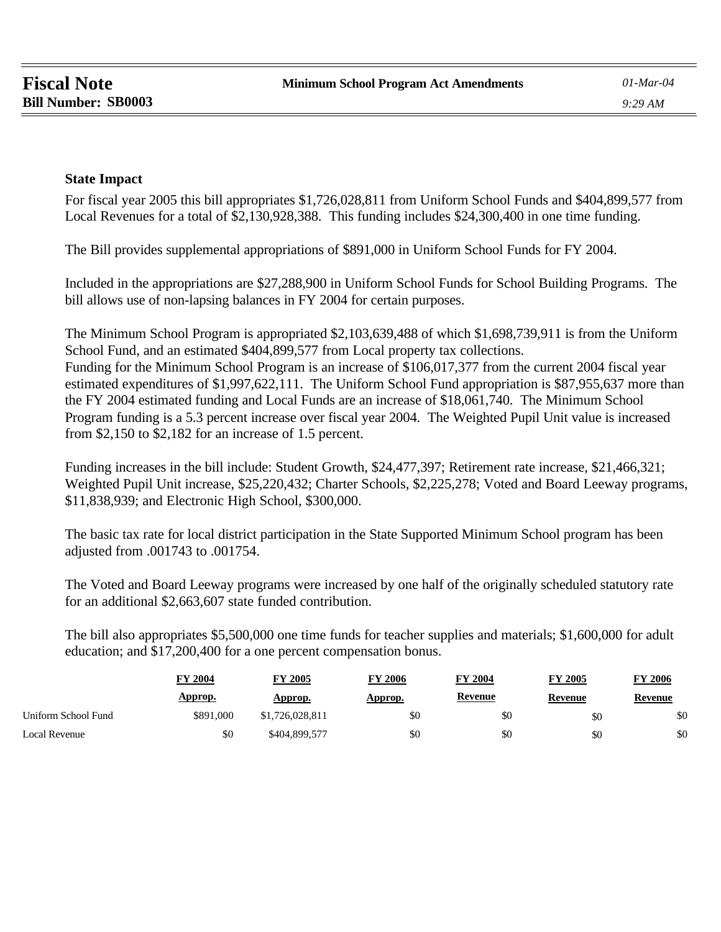## **State Impact**

For fiscal year 2005 this bill appropriates \$1,726,028,811 from Uniform School Funds and \$404,899,577 from Local Revenues for a total of \$2,130,928,388. This funding includes \$24,300,400 in one time funding.

The Bill provides supplemental appropriations of \$891,000 in Uniform School Funds for FY 2004.

Included in the appropriations are \$27,288,900 in Uniform School Funds for School Building Programs. The bill allows use of non-lapsing balances in FY 2004 for certain purposes.

The Minimum School Program is appropriated \$2,103,639,488 of which \$1,698,739,911 is from the Uniform School Fund, and an estimated \$404,899,577 from Local property tax collections. Funding for the Minimum School Program is an increase of \$106,017,377 from the current 2004 fiscal year estimated expenditures of \$1,997,622,111. The Uniform School Fund appropriation is \$87,955,637 more than the FY 2004 estimated funding and Local Funds are an increase of \$18,061,740. The Minimum School Program funding is a 5.3 percent increase over fiscal year 2004. The Weighted Pupil Unit value is increased from \$2,150 to \$2,182 for an increase of 1.5 percent.

Funding increases in the bill include: Student Growth, \$24,477,397; Retirement rate increase, \$21,466,321; Weighted Pupil Unit increase, \$25,220,432; Charter Schools, \$2,225,278; Voted and Board Leeway programs, \$11,838,939; and Electronic High School, \$300,000.

The basic tax rate for local district participation in the State Supported Minimum School program has been adjusted from .001743 to .001754.

The Voted and Board Leeway programs were increased by one half of the originally scheduled statutory rate for an additional \$2,663,607 state funded contribution.

The bill also appropriates \$5,500,000 one time funds for teacher supplies and materials; \$1,600,000 for adult education; and \$17,200,400 for a one percent compensation bonus.

|                     | <b>FY 2004</b> | <b>FY 2005</b>  | 2006<br>FY | FY 2004        | <b>FY 2005</b> | 2006<br>FY. |
|---------------------|----------------|-----------------|------------|----------------|----------------|-------------|
|                     | Approp.        | Approp.         | Approp.    | <b>Revenue</b> | Revenue        | Revenue     |
| Uniform School Fund | \$891,000      | \$1,726,028,811 | \$0        | \$0            | \$0            | \$0         |
| Local Revenue       | \$0            | \$404,899,577   | \$0        | \$0            | \$0            | \$0         |